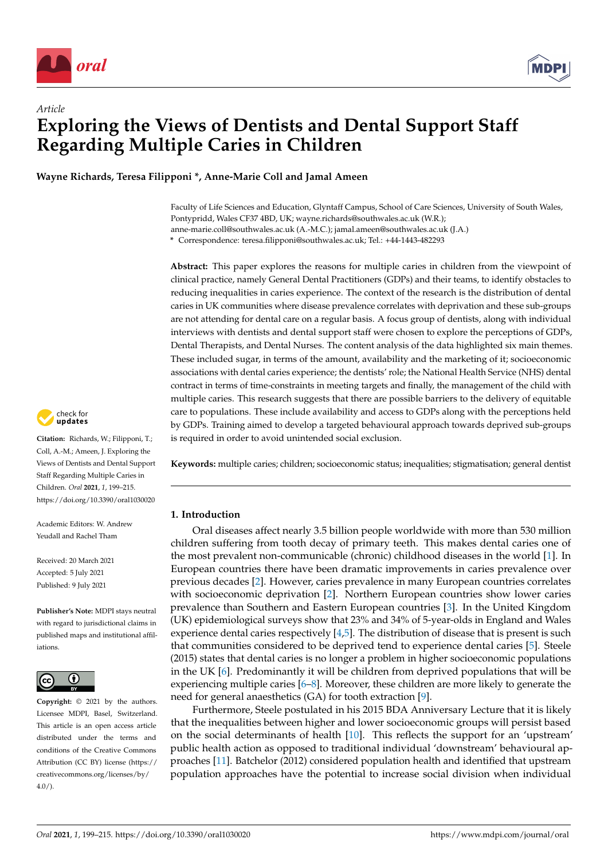



**Wayne Richards, Teresa Filipponi \*, Anne-Marie Coll and Jamal Ameen**

Faculty of Life Sciences and Education, Glyntaff Campus, School of Care Sciences, University of South Wales, Pontypridd, Wales CF37 4BD, UK; wayne.richards@southwales.ac.uk (W.R.); anne-marie.coll@southwales.ac.uk (A.-M.C.); jamal.ameen@southwales.ac.uk (J.A.)

**\*** Correspondence: teresa.filipponi@southwales.ac.uk; Tel.: +44-1443-482293

**Abstract:** This paper explores the reasons for multiple caries in children from the viewpoint of clinical practice, namely General Dental Practitioners (GDPs) and their teams, to identify obstacles to reducing inequalities in caries experience. The context of the research is the distribution of dental caries in UK communities where disease prevalence correlates with deprivation and these sub-groups are not attending for dental care on a regular basis. A focus group of dentists, along with individual interviews with dentists and dental support staff were chosen to explore the perceptions of GDPs, Dental Therapists, and Dental Nurses. The content analysis of the data highlighted six main themes. These included sugar, in terms of the amount, availability and the marketing of it; socioeconomic associations with dental caries experience; the dentists' role; the National Health Service (NHS) dental contract in terms of time-constraints in meeting targets and finally, the management of the child with multiple caries. This research suggests that there are possible barriers to the delivery of equitable care to populations. These include availability and access to GDPs along with the perceptions held by GDPs. Training aimed to develop a targeted behavioural approach towards deprived sub-groups is required in order to avoid unintended social exclusion.

**Keywords:** multiple caries; children; socioeconomic status; inequalities; stigmatisation; general dentist

### **1. Introduction**

Oral diseases affect nearly 3.5 billion people worldwide with more than 530 million children suffering from tooth decay of primary teeth. This makes dental caries one of the most prevalent non-communicable (chronic) childhood diseases in the world [\[1\]](#page-13-0). In European countries there have been dramatic improvements in caries prevalence over previous decades [\[2\]](#page-13-1). However, caries prevalence in many European countries correlates with socioeconomic deprivation [\[2\]](#page-13-1). Northern European countries show lower caries prevalence than Southern and Eastern European countries [\[3\]](#page-13-2). In the United Kingdom (UK) epidemiological surveys show that 23% and 34% of 5-year-olds in England and Wales experience dental caries respectively [\[4,](#page-13-3)[5\]](#page-13-4). The distribution of disease that is present is such that communities considered to be deprived tend to experience dental caries [\[5\]](#page-13-4). Steele (2015) states that dental caries is no longer a problem in higher socioeconomic populations in the UK [\[6\]](#page-13-5). Predominantly it will be children from deprived populations that will be experiencing multiple caries [\[6–](#page-13-5)[8\]](#page-13-6). Moreover, these children are more likely to generate the need for general anaesthetics (GA) for tooth extraction [\[9\]](#page-13-7).

Furthermore, Steele postulated in his 2015 BDA Anniversary Lecture that it is likely that the inequalities between higher and lower socioeconomic groups will persist based on the social determinants of health [\[10\]](#page-13-8). This reflects the support for an 'upstream' public health action as opposed to traditional individual 'downstream' behavioural approaches [\[11\]](#page-13-9). Batchelor (2012) considered population health and identified that upstream population approaches have the potential to increase social division when individual



**Citation:** Richards, W.; Filipponi, T.; Coll, A.-M.; Ameen, J. Exploring the Views of Dentists and Dental Support Staff Regarding Multiple Caries in Children. *Oral* **2021**, *1*, 199–215. <https://doi.org/10.3390/oral1030020>

Academic Editors: W. Andrew Yeudall and Rachel Tham

Received: 20 March 2021 Accepted: 5 July 2021 Published: 9 July 2021

**Publisher's Note:** MDPI stays neutral with regard to jurisdictional claims in published maps and institutional affiliations.



**Copyright:** © 2021 by the authors. Licensee MDPI, Basel, Switzerland. This article is an open access article distributed under the terms and conditions of the Creative Commons Attribution (CC BY) license (https:/[/](https://creativecommons.org/licenses/by/4.0/) [creativecommons.org/licenses/by/](https://creativecommons.org/licenses/by/4.0/)  $4.0/$ ).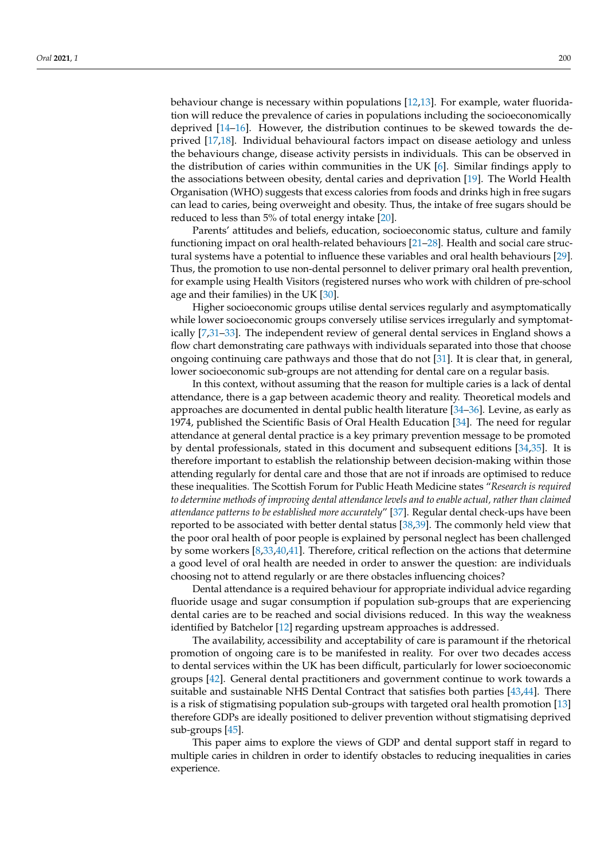behaviour change is necessary within populations [\[12,](#page-13-10)[13\]](#page-13-11). For example, water fluoridation will reduce the prevalence of caries in populations including the socioeconomically deprived [\[14](#page-13-12)[–16\]](#page-13-13). However, the distribution continues to be skewed towards the deprived [\[17,](#page-13-14)[18\]](#page-13-15). Individual behavioural factors impact on disease aetiology and unless the behaviours change, disease activity persists in individuals. This can be observed in the distribution of caries within communities in the UK [\[6\]](#page-13-5). Similar findings apply to the associations between obesity, dental caries and deprivation [\[19\]](#page-13-16). The World Health Organisation (WHO) suggests that excess calories from foods and drinks high in free sugars can lead to caries, being overweight and obesity. Thus, the intake of free sugars should be reduced to less than 5% of total energy intake [\[20\]](#page-14-0).

Parents' attitudes and beliefs, education, socioeconomic status, culture and family functioning impact on oral health-related behaviours [\[21–](#page-14-1)[28\]](#page-14-2). Health and social care structural systems have a potential to influence these variables and oral health behaviours [\[29\]](#page-14-3). Thus, the promotion to use non-dental personnel to deliver primary oral health prevention, for example using Health Visitors (registered nurses who work with children of pre-school age and their families) in the UK [\[30\]](#page-14-4).

Higher socioeconomic groups utilise dental services regularly and asymptomatically while lower socioeconomic groups conversely utilise services irregularly and symptomatically [\[7,](#page-13-17)[31](#page-14-5)[–33\]](#page-14-6). The independent review of general dental services in England shows a flow chart demonstrating care pathways with individuals separated into those that choose ongoing continuing care pathways and those that do not [\[31\]](#page-14-5). It is clear that, in general, lower socioeconomic sub-groups are not attending for dental care on a regular basis.

In this context, without assuming that the reason for multiple caries is a lack of dental attendance, there is a gap between academic theory and reality. Theoretical models and approaches are documented in dental public health literature [\[34](#page-14-7)[–36\]](#page-14-8). Levine, as early as 1974, published the Scientific Basis of Oral Health Education [\[34\]](#page-14-7). The need for regular attendance at general dental practice is a key primary prevention message to be promoted by dental professionals, stated in this document and subsequent editions [\[34](#page-14-7)[,35\]](#page-14-9). It is therefore important to establish the relationship between decision-making within those attending regularly for dental care and those that are not if inroads are optimised to reduce these inequalities. The Scottish Forum for Public Heath Medicine states "*Research is required to determine methods of improving dental attendance levels and to enable actual, rather than claimed attendance patterns to be established more accurately*" [\[37\]](#page-14-10). Regular dental check-ups have been reported to be associated with better dental status [\[38](#page-14-11)[,39\]](#page-14-12). The commonly held view that the poor oral health of poor people is explained by personal neglect has been challenged by some workers [\[8](#page-13-6)[,33](#page-14-6)[,40](#page-14-13)[,41\]](#page-14-14). Therefore, critical reflection on the actions that determine a good level of oral health are needed in order to answer the question: are individuals choosing not to attend regularly or are there obstacles influencing choices?

Dental attendance is a required behaviour for appropriate individual advice regarding fluoride usage and sugar consumption if population sub-groups that are experiencing dental caries are to be reached and social divisions reduced. In this way the weakness identified by Batchelor [\[12\]](#page-13-10) regarding upstream approaches is addressed.

The availability, accessibility and acceptability of care is paramount if the rhetorical promotion of ongoing care is to be manifested in reality. For over two decades access to dental services within the UK has been difficult, particularly for lower socioeconomic groups [\[42\]](#page-14-15). General dental practitioners and government continue to work towards a suitable and sustainable NHS Dental Contract that satisfies both parties [\[43,](#page-14-16)[44\]](#page-14-17). There is a risk of stigmatising population sub-groups with targeted oral health promotion [\[13\]](#page-13-11) therefore GDPs are ideally positioned to deliver prevention without stigmatising deprived sub-groups [\[45\]](#page-14-18).

This paper aims to explore the views of GDP and dental support staff in regard to multiple caries in children in order to identify obstacles to reducing inequalities in caries experience.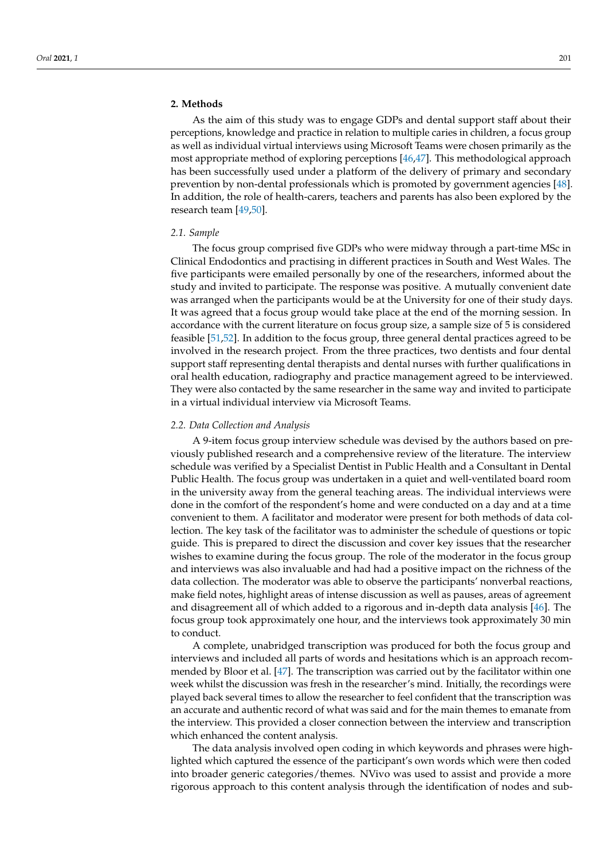# **2. Methods**

As the aim of this study was to engage GDPs and dental support staff about their perceptions, knowledge and practice in relation to multiple caries in children, a focus group as well as individual virtual interviews using Microsoft Teams were chosen primarily as the most appropriate method of exploring perceptions [\[46,](#page-14-19)[47\]](#page-15-0). This methodological approach has been successfully used under a platform of the delivery of primary and secondary prevention by non-dental professionals which is promoted by government agencies [\[48\]](#page-15-1). In addition, the role of health-carers, teachers and parents has also been explored by the research team [\[49](#page-15-2)[,50\]](#page-15-3).

## *2.1. Sample*

The focus group comprised five GDPs who were midway through a part-time MSc in Clinical Endodontics and practising in different practices in South and West Wales. The five participants were emailed personally by one of the researchers, informed about the study and invited to participate. The response was positive. A mutually convenient date was arranged when the participants would be at the University for one of their study days. It was agreed that a focus group would take place at the end of the morning session. In accordance with the current literature on focus group size, a sample size of 5 is considered feasible [\[51](#page-15-4)[,52\]](#page-15-5). In addition to the focus group, three general dental practices agreed to be involved in the research project. From the three practices, two dentists and four dental support staff representing dental therapists and dental nurses with further qualifications in oral health education, radiography and practice management agreed to be interviewed. They were also contacted by the same researcher in the same way and invited to participate in a virtual individual interview via Microsoft Teams.

#### *2.2. Data Collection and Analysis*

A 9-item focus group interview schedule was devised by the authors based on previously published research and a comprehensive review of the literature. The interview schedule was verified by a Specialist Dentist in Public Health and a Consultant in Dental Public Health. The focus group was undertaken in a quiet and well-ventilated board room in the university away from the general teaching areas. The individual interviews were done in the comfort of the respondent's home and were conducted on a day and at a time convenient to them. A facilitator and moderator were present for both methods of data collection. The key task of the facilitator was to administer the schedule of questions or topic guide. This is prepared to direct the discussion and cover key issues that the researcher wishes to examine during the focus group. The role of the moderator in the focus group and interviews was also invaluable and had had a positive impact on the richness of the data collection. The moderator was able to observe the participants' nonverbal reactions, make field notes, highlight areas of intense discussion as well as pauses, areas of agreement and disagreement all of which added to a rigorous and in-depth data analysis [\[46\]](#page-14-19). The focus group took approximately one hour, and the interviews took approximately 30 min to conduct.

A complete, unabridged transcription was produced for both the focus group and interviews and included all parts of words and hesitations which is an approach recommended by Bloor et al. [\[47\]](#page-15-0). The transcription was carried out by the facilitator within one week whilst the discussion was fresh in the researcher's mind. Initially, the recordings were played back several times to allow the researcher to feel confident that the transcription was an accurate and authentic record of what was said and for the main themes to emanate from the interview. This provided a closer connection between the interview and transcription which enhanced the content analysis.

The data analysis involved open coding in which keywords and phrases were highlighted which captured the essence of the participant's own words which were then coded into broader generic categories/themes. NVivo was used to assist and provide a more rigorous approach to this content analysis through the identification of nodes and sub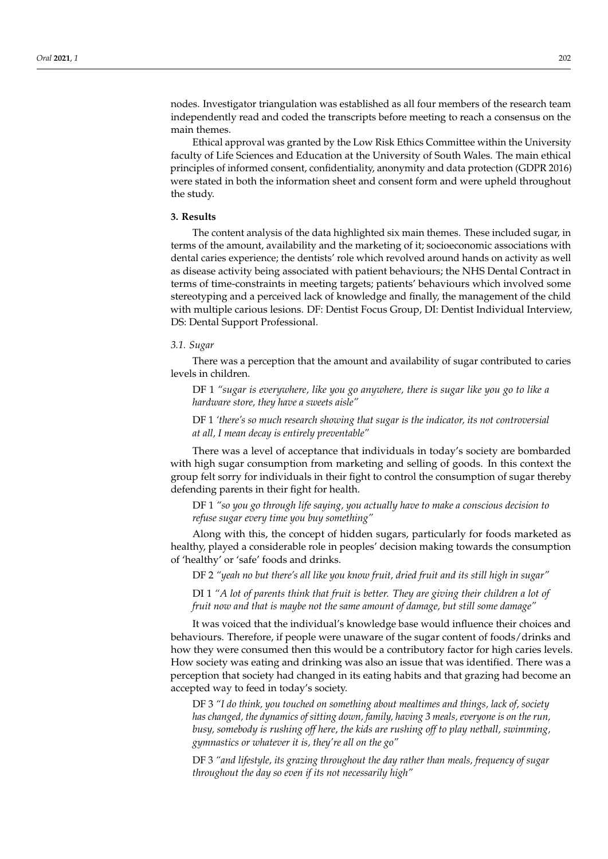nodes. Investigator triangulation was established as all four members of the research team independently read and coded the transcripts before meeting to reach a consensus on the main themes.

Ethical approval was granted by the Low Risk Ethics Committee within the University faculty of Life Sciences and Education at the University of South Wales. The main ethical principles of informed consent, confidentiality, anonymity and data protection (GDPR 2016) were stated in both the information sheet and consent form and were upheld throughout the study.

#### **3. Results**

The content analysis of the data highlighted six main themes. These included sugar, in terms of the amount, availability and the marketing of it; socioeconomic associations with dental caries experience; the dentists' role which revolved around hands on activity as well as disease activity being associated with patient behaviours; the NHS Dental Contract in terms of time-constraints in meeting targets; patients' behaviours which involved some stereotyping and a perceived lack of knowledge and finally, the management of the child with multiple carious lesions. DF: Dentist Focus Group, DI: Dentist Individual Interview, DS: Dental Support Professional.

#### *3.1. Sugar*

There was a perception that the amount and availability of sugar contributed to caries levels in children.

DF 1 *"sugar is everywhere, like you go anywhere, there is sugar like you go to like a hardware store, they have a sweets aisle"*

DF 1 *'there's so much research showing that sugar is the indicator, its not controversial at all, I mean decay is entirely preventable"*

There was a level of acceptance that individuals in today's society are bombarded with high sugar consumption from marketing and selling of goods. In this context the group felt sorry for individuals in their fight to control the consumption of sugar thereby defending parents in their fight for health.

DF 1 *"so you go through life saying, you actually have to make a conscious decision to refuse sugar every time you buy something"*

Along with this, the concept of hidden sugars, particularly for foods marketed as healthy, played a considerable role in peoples' decision making towards the consumption of 'healthy' or 'safe' foods and drinks.

DF 2 *"yeah no but there's all like you know fruit, dried fruit and its still high in sugar"*

DI 1 *"A lot of parents think that fruit is better. They are giving their children a lot of fruit now and that is maybe not the same amount of damage, but still some damage"*

It was voiced that the individual's knowledge base would influence their choices and behaviours. Therefore, if people were unaware of the sugar content of foods/drinks and how they were consumed then this would be a contributory factor for high caries levels. How society was eating and drinking was also an issue that was identified. There was a perception that society had changed in its eating habits and that grazing had become an accepted way to feed in today's society.

DF 3 *"I do think, you touched on something about mealtimes and things, lack of, society has changed, the dynamics of sitting down, family, having 3 meals, everyone is on the run, busy, somebody is rushing off here, the kids are rushing off to play netball, swimming, gymnastics or whatever it is, they're all on the go"*

DF 3 *"and lifestyle, its grazing throughout the day rather than meals, frequency of sugar throughout the day so even if its not necessarily high"*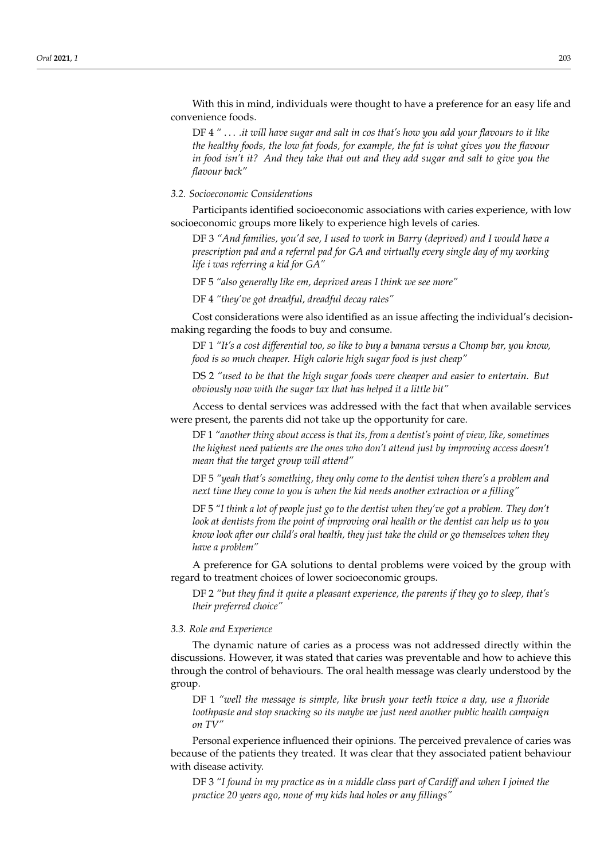With this in mind, individuals were thought to have a preference for an easy life and convenience foods.

DF 4 *"* . . . *.it will have sugar and salt in cos that's how you add your flavours to it like the healthy foods, the low fat foods, for example, the fat is what gives you the flavour in food isn't it? And they take that out and they add sugar and salt to give you the flavour back"*

*3.2. Socioeconomic Considerations*

Participants identified socioeconomic associations with caries experience, with low socioeconomic groups more likely to experience high levels of caries.

DF 3 *"And families, you'd see, I used to work in Barry (deprived) and I would have a prescription pad and a referral pad for GA and virtually every single day of my working life i was referring a kid for GA"*

DF 5 *"also generally like em, deprived areas I think we see more"*

DF 4 *"they've got dreadful, dreadful decay rates"*

Cost considerations were also identified as an issue affecting the individual's decisionmaking regarding the foods to buy and consume.

DF 1 *"It's a cost differential too, so like to buy a banana versus a Chomp bar, you know, food is so much cheaper. High calorie high sugar food is just cheap"*

DS 2 *"used to be that the high sugar foods were cheaper and easier to entertain. But obviously now with the sugar tax that has helped it a little bit"*

Access to dental services was addressed with the fact that when available services were present, the parents did not take up the opportunity for care.

DF 1 *"another thing about access is that its, from a dentist's point of view, like, sometimes the highest need patients are the ones who don't attend just by improving access doesn't mean that the target group will attend"*

DF 5 *"yeah that's something, they only come to the dentist when there's a problem and next time they come to you is when the kid needs another extraction or a filling"*

DF 5 *"I think a lot of people just go to the dentist when they've got a problem. They don't look at dentists from the point of improving oral health or the dentist can help us to you know look after our child's oral health, they just take the child or go themselves when they have a problem"*

A preference for GA solutions to dental problems were voiced by the group with regard to treatment choices of lower socioeconomic groups.

DF 2 *"but they find it quite a pleasant experience, the parents if they go to sleep, that's their preferred choice"*

### *3.3. Role and Experience*

The dynamic nature of caries as a process was not addressed directly within the discussions. However, it was stated that caries was preventable and how to achieve this through the control of behaviours. The oral health message was clearly understood by the group.

DF 1 *"well the message is simple, like brush your teeth twice a day, use a fluoride toothpaste and stop snacking so its maybe we just need another public health campaign on TV"*

Personal experience influenced their opinions. The perceived prevalence of caries was because of the patients they treated. It was clear that they associated patient behaviour with disease activity.

DF 3 *"I found in my practice as in a middle class part of Cardiff and when I joined the practice 20 years ago, none of my kids had holes or any fillings"*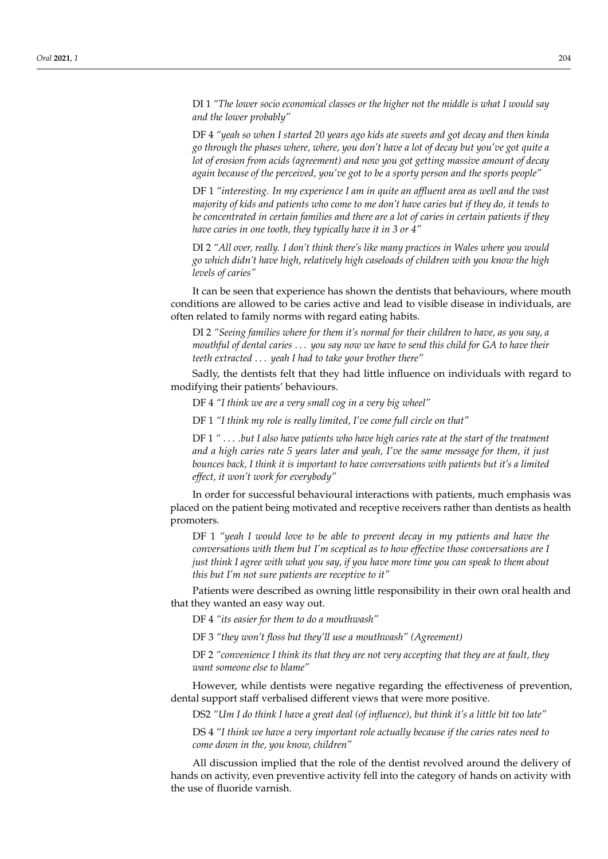DI 1 *"The lower socio economical classes or the higher not the middle is what I would say and the lower probably"*

DF 4 *"yeah so when I started 20 years ago kids ate sweets and got decay and then kinda go through the phases where, where, you don't have a lot of decay but you've got quite a lot of erosion from acids (agreement) and now you got getting massive amount of decay again because of the perceived, you've got to be a sporty person and the sports people"*

DF 1 *"interesting. In my experience I am in quite an affluent area as well and the vast majority of kids and patients who come to me don't have caries but if they do, it tends to be concentrated in certain families and there are a lot of caries in certain patients if they have caries in one tooth, they typically have it in 3 or 4"*

DI 2 *"All over, really. I don't think there's like many practices in Wales where you would go which didn't have high, relatively high caseloads of children with you know the high levels of caries"*

It can be seen that experience has shown the dentists that behaviours, where mouth conditions are allowed to be caries active and lead to visible disease in individuals, are often related to family norms with regard eating habits.

DI 2 *"Seeing families where for them it's normal for their children to have, as you say, a mouthful of dental caries* . . . *you say now we have to send this child for GA to have their teeth extracted* . . . *yeah I had to take your brother there"*

Sadly, the dentists felt that they had little influence on individuals with regard to modifying their patients' behaviours.

DF 4 *"I think we are a very small cog in a very big wheel"*

DF 1 *"I think my role is really limited, I've come full circle on that"*

DF 1 *"* . . . *.but I also have patients who have high caries rate at the start of the treatment and a high caries rate 5 years later and yeah, I've the same message for them, it just bounces back, I think it is important to have conversations with patients but it's a limited effect, it won't work for everybody"*

In order for successful behavioural interactions with patients, much emphasis was placed on the patient being motivated and receptive receivers rather than dentists as health promoters.

DF 1 *"yeah I would love to be able to prevent decay in my patients and have the conversations with them but I'm sceptical as to how effective those conversations are I just think I agree with what you say, if you have more time you can speak to them about this but I'm not sure patients are receptive to it"*

Patients were described as owning little responsibility in their own oral health and that they wanted an easy way out.

DF 4 *"its easier for them to do a mouthwash"*

DF 3 *"they won't floss but they'll use a mouthwash" (Agreement)*

DF 2 *"convenience I think its that they are not very accepting that they are at fault, they want someone else to blame"*

However, while dentists were negative regarding the effectiveness of prevention, dental support staff verbalised different views that were more positive.

DS2 *"Um I do think I have a great deal (of influence), but think it's a little bit too late"*

DS 4 *"I think we have a very important role actually because if the caries rates need to come down in the, you know, children"*

All discussion implied that the role of the dentist revolved around the delivery of hands on activity, even preventive activity fell into the category of hands on activity with the use of fluoride varnish.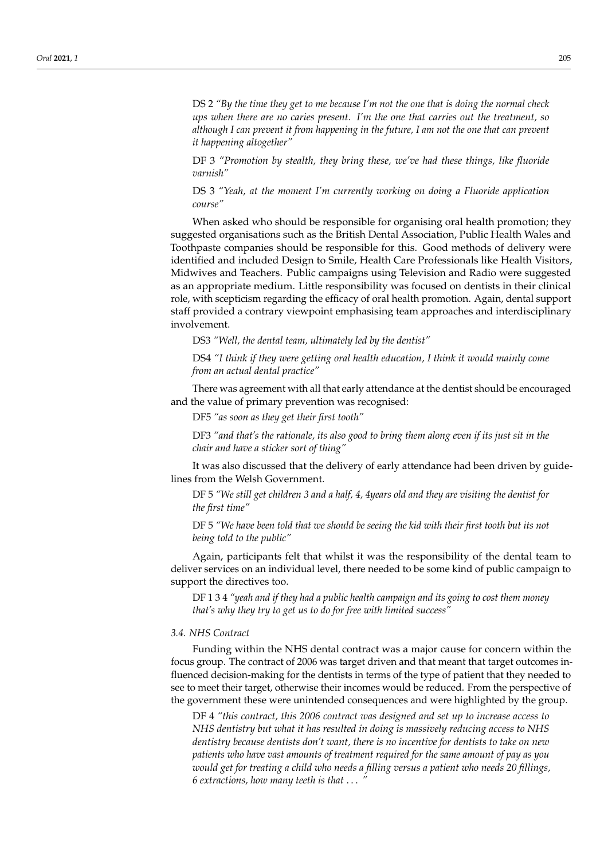DS 2 *"By the time they get to me because I'm not the one that is doing the normal check ups when there are no caries present. I'm the one that carries out the treatment, so although I can prevent it from happening in the future, I am not the one that can prevent it happening altogether"*

DF 3 *"Promotion by stealth, they bring these, we've had these things, like fluoride varnish"*

DS 3 *"Yeah, at the moment I'm currently working on doing a Fluoride application course"*

When asked who should be responsible for organising oral health promotion; they suggested organisations such as the British Dental Association, Public Health Wales and Toothpaste companies should be responsible for this. Good methods of delivery were identified and included Design to Smile, Health Care Professionals like Health Visitors, Midwives and Teachers. Public campaigns using Television and Radio were suggested as an appropriate medium. Little responsibility was focused on dentists in their clinical role, with scepticism regarding the efficacy of oral health promotion. Again, dental support staff provided a contrary viewpoint emphasising team approaches and interdisciplinary involvement.

DS3 *"Well, the dental team, ultimately led by the dentist"*

DS4 *"I think if they were getting oral health education, I think it would mainly come from an actual dental practice"*

There was agreement with all that early attendance at the dentist should be encouraged and the value of primary prevention was recognised:

DF5 *"as soon as they get their first tooth"*

DF3 *"and that's the rationale, its also good to bring them along even if its just sit in the chair and have a sticker sort of thing"*

It was also discussed that the delivery of early attendance had been driven by guidelines from the Welsh Government.

DF 5 *"We still get children 3 and a half, 4, 4years old and they are visiting the dentist for the first time"*

DF 5 *"We have been told that we should be seeing the kid with their first tooth but its not being told to the public"*

Again, participants felt that whilst it was the responsibility of the dental team to deliver services on an individual level, there needed to be some kind of public campaign to support the directives too.

DF 1 3 4 *"yeah and if they had a public health campaign and its going to cost them money that's why they try to get us to do for free with limited success"*

### *3.4. NHS Contract*

Funding within the NHS dental contract was a major cause for concern within the focus group. The contract of 2006 was target driven and that meant that target outcomes influenced decision-making for the dentists in terms of the type of patient that they needed to see to meet their target, otherwise their incomes would be reduced. From the perspective of the government these were unintended consequences and were highlighted by the group.

DF 4 *"this contract, this 2006 contract was designed and set up to increase access to NHS dentistry but what it has resulted in doing is massively reducing access to NHS dentistry because dentists don't want, there is no incentive for dentists to take on new patients who have vast amounts of treatment required for the same amount of pay as you would get for treating a child who needs a filling versus a patient who needs 20 fillings, 6 extractions, how many teeth is that* . . . *"*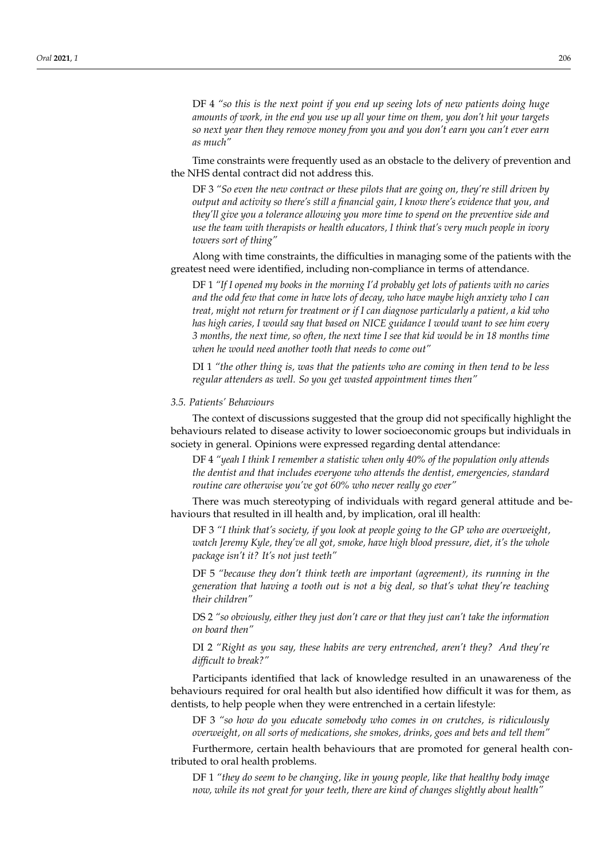DF 4 *"so this is the next point if you end up seeing lots of new patients doing huge amounts of work, in the end you use up all your time on them, you don't hit your targets so next year then they remove money from you and you don't earn you can't ever earn as much"*

Time constraints were frequently used as an obstacle to the delivery of prevention and the NHS dental contract did not address this.

DF 3 *"So even the new contract or these pilots that are going on, they're still driven by output and activity so there's still a financial gain, I know there's evidence that you, and they'll give you a tolerance allowing you more time to spend on the preventive side and use the team with therapists or health educators, I think that's very much people in ivory towers sort of thing"*

Along with time constraints, the difficulties in managing some of the patients with the greatest need were identified, including non-compliance in terms of attendance.

DF 1 *"If I opened my books in the morning I'd probably get lots of patients with no caries and the odd few that come in have lots of decay, who have maybe high anxiety who I can treat, might not return for treatment or if I can diagnose particularly a patient, a kid who has high caries, I would say that based on NICE guidance I would want to see him every 3 months, the next time, so often, the next time I see that kid would be in 18 months time when he would need another tooth that needs to come out"*

DI 1 *"the other thing is, was that the patients who are coming in then tend to be less regular attenders as well. So you get wasted appointment times then"*

#### *3.5. Patients' Behaviours*

The context of discussions suggested that the group did not specifically highlight the behaviours related to disease activity to lower socioeconomic groups but individuals in society in general. Opinions were expressed regarding dental attendance:

DF 4 *"yeah I think I remember a statistic when only 40% of the population only attends the dentist and that includes everyone who attends the dentist, emergencies, standard routine care otherwise you've got 60% who never really go ever"*

There was much stereotyping of individuals with regard general attitude and behaviours that resulted in ill health and, by implication, oral ill health:

DF 3 *"I think that's society, if you look at people going to the GP who are overweight, watch Jeremy Kyle, they've all got, smoke, have high blood pressure, diet, it's the whole package isn't it? It's not just teeth"*

DF 5 *"because they don't think teeth are important (agreement), its running in the generation that having a tooth out is not a big deal, so that's what they're teaching their children"*

DS 2 *"so obviously, either they just don't care or that they just can't take the information on board then"*

DI 2 *"Right as you say, these habits are very entrenched, aren't they? And they're difficult to break?"*

Participants identified that lack of knowledge resulted in an unawareness of the behaviours required for oral health but also identified how difficult it was for them, as dentists, to help people when they were entrenched in a certain lifestyle:

DF 3 *"so how do you educate somebody who comes in on crutches, is ridiculously overweight, on all sorts of medications, she smokes, drinks, goes and bets and tell them"*

Furthermore, certain health behaviours that are promoted for general health contributed to oral health problems.

DF 1 *"they do seem to be changing, like in young people, like that healthy body image now, while its not great for your teeth, there are kind of changes slightly about health"*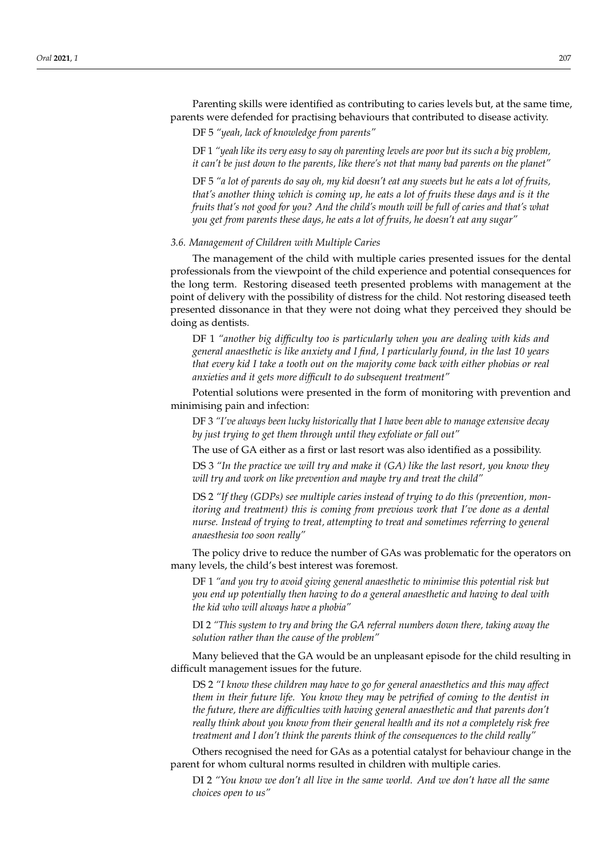Parenting skills were identified as contributing to caries levels but, at the same time, parents were defended for practising behaviours that contributed to disease activity.

DF 5 *"yeah, lack of knowledge from parents"*

DF 1 *"yeah like its very easy to say oh parenting levels are poor but its such a big problem, it can't be just down to the parents, like there's not that many bad parents on the planet"*

DF 5 *"a lot of parents do say oh, my kid doesn't eat any sweets but he eats a lot of fruits, that's another thing which is coming up, he eats a lot of fruits these days and is it the fruits that's not good for you? And the child's mouth will be full of caries and that's what you get from parents these days, he eats a lot of fruits, he doesn't eat any sugar"*

#### *3.6. Management of Children with Multiple Caries*

The management of the child with multiple caries presented issues for the dental professionals from the viewpoint of the child experience and potential consequences for the long term. Restoring diseased teeth presented problems with management at the point of delivery with the possibility of distress for the child. Not restoring diseased teeth presented dissonance in that they were not doing what they perceived they should be doing as dentists.

DF 1 *"another big difficulty too is particularly when you are dealing with kids and general anaesthetic is like anxiety and I find, I particularly found, in the last 10 years that every kid I take a tooth out on the majority come back with either phobias or real anxieties and it gets more difficult to do subsequent treatment"*

Potential solutions were presented in the form of monitoring with prevention and minimising pain and infection:

DF 3 *"I've always been lucky historically that I have been able to manage extensive decay by just trying to get them through until they exfoliate or fall out"*

The use of GA either as a first or last resort was also identified as a possibility.

DS 3 *"In the practice we will try and make it (GA) like the last resort, you know they will try and work on like prevention and maybe try and treat the child"*

DS 2 *"If they (GDPs) see multiple caries instead of trying to do this (prevention, monitoring and treatment) this is coming from previous work that I've done as a dental nurse. Instead of trying to treat, attempting to treat and sometimes referring to general anaesthesia too soon really"*

The policy drive to reduce the number of GAs was problematic for the operators on many levels, the child's best interest was foremost.

DF 1 *"and you try to avoid giving general anaesthetic to minimise this potential risk but you end up potentially then having to do a general anaesthetic and having to deal with the kid who will always have a phobia"*

DI 2 *"This system to try and bring the GA referral numbers down there, taking away the solution rather than the cause of the problem"*

Many believed that the GA would be an unpleasant episode for the child resulting in difficult management issues for the future.

DS 2 *"I know these children may have to go for general anaesthetics and this may affect them in their future life. You know they may be petrified of coming to the dentist in the future, there are difficulties with having general anaesthetic and that parents don't really think about you know from their general health and its not a completely risk free treatment and I don't think the parents think of the consequences to the child really"*

Others recognised the need for GAs as a potential catalyst for behaviour change in the parent for whom cultural norms resulted in children with multiple caries.

DI 2 *"You know we don't all live in the same world. And we don't have all the same choices open to us"*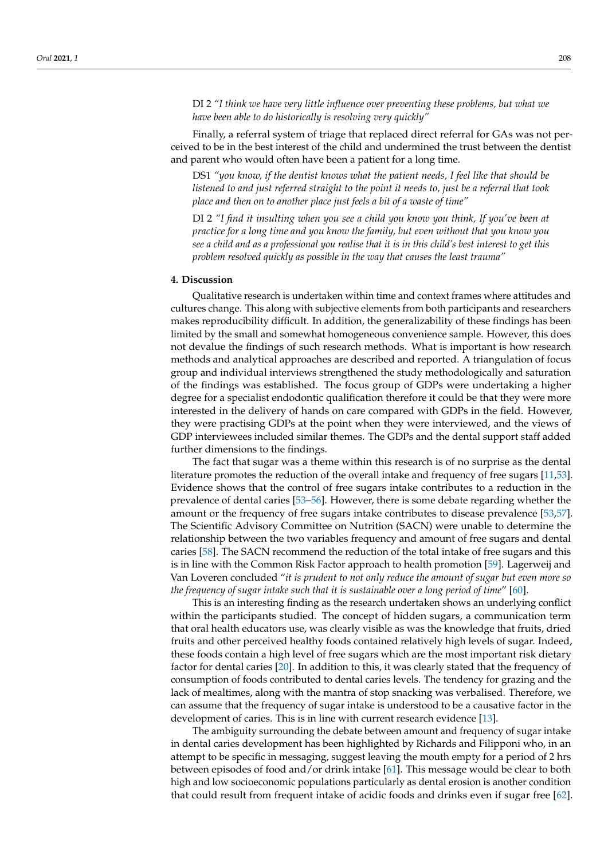DI 2 *"I think we have very little influence over preventing these problems, but what we have been able to do historically is resolving very quickly"*

Finally, a referral system of triage that replaced direct referral for GAs was not perceived to be in the best interest of the child and undermined the trust between the dentist and parent who would often have been a patient for a long time.

DS1 *"you know, if the dentist knows what the patient needs, I feel like that should be listened to and just referred straight to the point it needs to, just be a referral that took place and then on to another place just feels a bit of a waste of time"*

DI 2 *"I find it insulting when you see a child you know you think, If you've been at practice for a long time and you know the family, but even without that you know you see a child and as a professional you realise that it is in this child's best interest to get this problem resolved quickly as possible in the way that causes the least trauma"*

#### **4. Discussion**

Qualitative research is undertaken within time and context frames where attitudes and cultures change. This along with subjective elements from both participants and researchers makes reproducibility difficult. In addition, the generalizability of these findings has been limited by the small and somewhat homogeneous convenience sample. However, this does not devalue the findings of such research methods. What is important is how research methods and analytical approaches are described and reported. A triangulation of focus group and individual interviews strengthened the study methodologically and saturation of the findings was established. The focus group of GDPs were undertaking a higher degree for a specialist endodontic qualification therefore it could be that they were more interested in the delivery of hands on care compared with GDPs in the field. However, they were practising GDPs at the point when they were interviewed, and the views of GDP interviewees included similar themes. The GDPs and the dental support staff added further dimensions to the findings.

The fact that sugar was a theme within this research is of no surprise as the dental literature promotes the reduction of the overall intake and frequency of free sugars [\[11](#page-13-9)[,53\]](#page-15-6). Evidence shows that the control of free sugars intake contributes to a reduction in the prevalence of dental caries [\[53–](#page-15-6)[56\]](#page-15-7). However, there is some debate regarding whether the amount or the frequency of free sugars intake contributes to disease prevalence [\[53,](#page-15-6)[57\]](#page-15-8). The Scientific Advisory Committee on Nutrition (SACN) were unable to determine the relationship between the two variables frequency and amount of free sugars and dental caries [\[58\]](#page-15-9). The SACN recommend the reduction of the total intake of free sugars and this is in line with the Common Risk Factor approach to health promotion [\[59\]](#page-15-10). Lagerweij and Van Loveren concluded "*it is prudent to not only reduce the amount of sugar but even more so the frequency of sugar intake such that it is sustainable over a long period of time*" [\[60\]](#page-15-11).

This is an interesting finding as the research undertaken shows an underlying conflict within the participants studied. The concept of hidden sugars, a communication term that oral health educators use, was clearly visible as was the knowledge that fruits, dried fruits and other perceived healthy foods contained relatively high levels of sugar. Indeed, these foods contain a high level of free sugars which are the most important risk dietary factor for dental caries [\[20\]](#page-14-0). In addition to this, it was clearly stated that the frequency of consumption of foods contributed to dental caries levels. The tendency for grazing and the lack of mealtimes, along with the mantra of stop snacking was verbalised. Therefore, we can assume that the frequency of sugar intake is understood to be a causative factor in the development of caries. This is in line with current research evidence [\[13\]](#page-13-11).

The ambiguity surrounding the debate between amount and frequency of sugar intake in dental caries development has been highlighted by Richards and Filipponi who, in an attempt to be specific in messaging, suggest leaving the mouth empty for a period of 2 hrs between episodes of food and/or drink intake [\[61\]](#page-15-12). This message would be clear to both high and low socioeconomic populations particularly as dental erosion is another condition that could result from frequent intake of acidic foods and drinks even if sugar free [\[62\]](#page-15-13).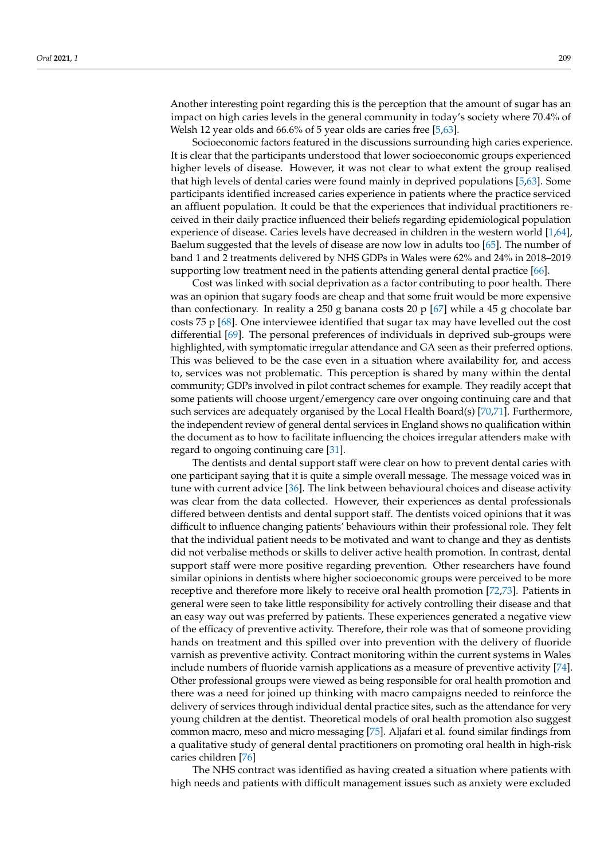Another interesting point regarding this is the perception that the amount of sugar has an impact on high caries levels in the general community in today's society where 70.4% of Welsh 12 year olds and 66.6% of 5 year olds are caries free [\[5,](#page-13-4)[63\]](#page-15-14).

Socioeconomic factors featured in the discussions surrounding high caries experience. It is clear that the participants understood that lower socioeconomic groups experienced higher levels of disease. However, it was not clear to what extent the group realised that high levels of dental caries were found mainly in deprived populations [\[5](#page-13-4)[,63\]](#page-15-14). Some participants identified increased caries experience in patients where the practice serviced an affluent population. It could be that the experiences that individual practitioners received in their daily practice influenced their beliefs regarding epidemiological population experience of disease. Caries levels have decreased in children in the western world [\[1](#page-13-0)[,64\]](#page-15-15), Baelum suggested that the levels of disease are now low in adults too [\[65\]](#page-15-16). The number of band 1 and 2 treatments delivered by NHS GDPs in Wales were 62% and 24% in 2018–2019 supporting low treatment need in the patients attending general dental practice [\[66\]](#page-15-17).

Cost was linked with social deprivation as a factor contributing to poor health. There was an opinion that sugary foods are cheap and that some fruit would be more expensive than confectionary. In reality a 250 g banana costs 20 p  $[67]$  while a 45 g chocolate bar costs 75 p [\[68\]](#page-15-19). One interviewee identified that sugar tax may have levelled out the cost differential [\[69\]](#page-15-20). The personal preferences of individuals in deprived sub-groups were highlighted, with symptomatic irregular attendance and GA seen as their preferred options. This was believed to be the case even in a situation where availability for, and access to, services was not problematic. This perception is shared by many within the dental community; GDPs involved in pilot contract schemes for example. They readily accept that some patients will choose urgent/emergency care over ongoing continuing care and that such services are adequately organised by the Local Health Board(s) [\[70,](#page-15-21)[71\]](#page-15-22). Furthermore, the independent review of general dental services in England shows no qualification within the document as to how to facilitate influencing the choices irregular attenders make with regard to ongoing continuing care [\[31\]](#page-14-5).

The dentists and dental support staff were clear on how to prevent dental caries with one participant saying that it is quite a simple overall message. The message voiced was in tune with current advice [\[36\]](#page-14-8). The link between behavioural choices and disease activity was clear from the data collected. However, their experiences as dental professionals differed between dentists and dental support staff. The dentists voiced opinions that it was difficult to influence changing patients' behaviours within their professional role. They felt that the individual patient needs to be motivated and want to change and they as dentists did not verbalise methods or skills to deliver active health promotion. In contrast, dental support staff were more positive regarding prevention. Other researchers have found similar opinions in dentists where higher socioeconomic groups were perceived to be more receptive and therefore more likely to receive oral health promotion [\[72](#page-15-23)[,73\]](#page-15-24). Patients in general were seen to take little responsibility for actively controlling their disease and that an easy way out was preferred by patients. These experiences generated a negative view of the efficacy of preventive activity. Therefore, their role was that of someone providing hands on treatment and this spilled over into prevention with the delivery of fluoride varnish as preventive activity. Contract monitoring within the current systems in Wales include numbers of fluoride varnish applications as a measure of preventive activity [\[74\]](#page-15-25). Other professional groups were viewed as being responsible for oral health promotion and there was a need for joined up thinking with macro campaigns needed to reinforce the delivery of services through individual dental practice sites, such as the attendance for very young children at the dentist. Theoretical models of oral health promotion also suggest common macro, meso and micro messaging [\[75\]](#page-15-26). Aljafari et al. found similar findings from a qualitative study of general dental practitioners on promoting oral health in high-risk caries children [\[76\]](#page-15-27)

The NHS contract was identified as having created a situation where patients with high needs and patients with difficult management issues such as anxiety were excluded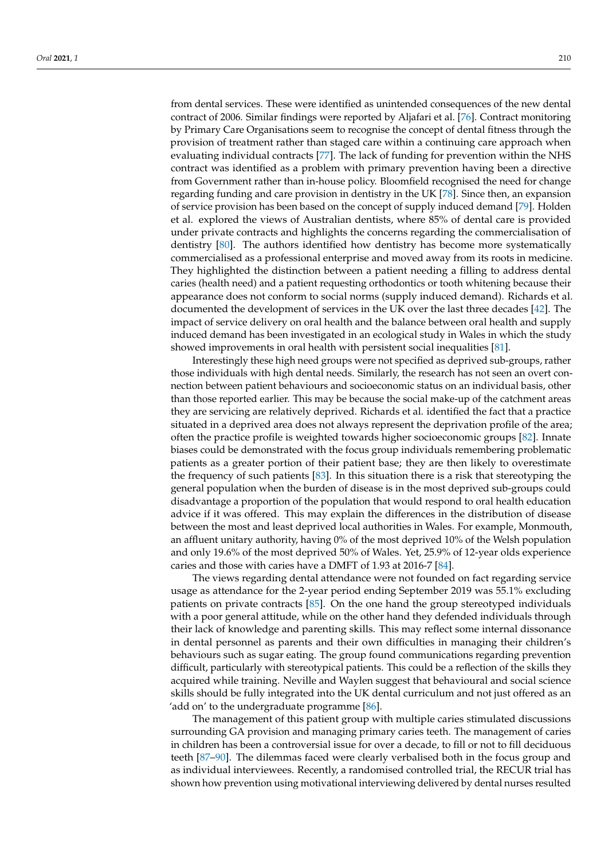from dental services. These were identified as unintended consequences of the new dental contract of 2006. Similar findings were reported by Aljafari et al. [\[76\]](#page-15-27). Contract monitoring by Primary Care Organisations seem to recognise the concept of dental fitness through the provision of treatment rather than staged care within a continuing care approach when evaluating individual contracts [\[77\]](#page-15-28). The lack of funding for prevention within the NHS contract was identified as a problem with primary prevention having been a directive from Government rather than in-house policy. Bloomfield recognised the need for change regarding funding and care provision in dentistry in the UK [\[78\]](#page-16-0). Since then, an expansion of service provision has been based on the concept of supply induced demand [\[79\]](#page-16-1). Holden et al. explored the views of Australian dentists, where 85% of dental care is provided under private contracts and highlights the concerns regarding the commercialisation of dentistry [\[80\]](#page-16-2). The authors identified how dentistry has become more systematically commercialised as a professional enterprise and moved away from its roots in medicine. They highlighted the distinction between a patient needing a filling to address dental caries (health need) and a patient requesting orthodontics or tooth whitening because their appearance does not conform to social norms (supply induced demand). Richards et al. documented the development of services in the UK over the last three decades [\[42\]](#page-14-15). The impact of service delivery on oral health and the balance between oral health and supply induced demand has been investigated in an ecological study in Wales in which the study showed improvements in oral health with persistent social inequalities [\[81\]](#page-16-3).

Interestingly these high need groups were not specified as deprived sub-groups, rather those individuals with high dental needs. Similarly, the research has not seen an overt connection between patient behaviours and socioeconomic status on an individual basis, other than those reported earlier. This may be because the social make-up of the catchment areas they are servicing are relatively deprived. Richards et al. identified the fact that a practice situated in a deprived area does not always represent the deprivation profile of the area; often the practice profile is weighted towards higher socioeconomic groups [\[82\]](#page-16-4). Innate biases could be demonstrated with the focus group individuals remembering problematic patients as a greater portion of their patient base; they are then likely to overestimate the frequency of such patients [\[83\]](#page-16-5). In this situation there is a risk that stereotyping the general population when the burden of disease is in the most deprived sub-groups could disadvantage a proportion of the population that would respond to oral health education advice if it was offered. This may explain the differences in the distribution of disease between the most and least deprived local authorities in Wales. For example, Monmouth, an affluent unitary authority, having 0% of the most deprived 10% of the Welsh population and only 19.6% of the most deprived 50% of Wales. Yet, 25.9% of 12-year olds experience caries and those with caries have a DMFT of 1.93 at 2016-7 [\[84\]](#page-16-6).

The views regarding dental attendance were not founded on fact regarding service usage as attendance for the 2-year period ending September 2019 was 55.1% excluding patients on private contracts [\[85\]](#page-16-7). On the one hand the group stereotyped individuals with a poor general attitude, while on the other hand they defended individuals through their lack of knowledge and parenting skills. This may reflect some internal dissonance in dental personnel as parents and their own difficulties in managing their children's behaviours such as sugar eating. The group found communications regarding prevention difficult, particularly with stereotypical patients. This could be a reflection of the skills they acquired while training. Neville and Waylen suggest that behavioural and social science skills should be fully integrated into the UK dental curriculum and not just offered as an 'add on' to the undergraduate programme [\[86\]](#page-16-8).

The management of this patient group with multiple caries stimulated discussions surrounding GA provision and managing primary caries teeth. The management of caries in children has been a controversial issue for over a decade, to fill or not to fill deciduous teeth [\[87–](#page-16-9)[90\]](#page-16-10). The dilemmas faced were clearly verbalised both in the focus group and as individual interviewees. Recently, a randomised controlled trial, the RECUR trial has shown how prevention using motivational interviewing delivered by dental nurses resulted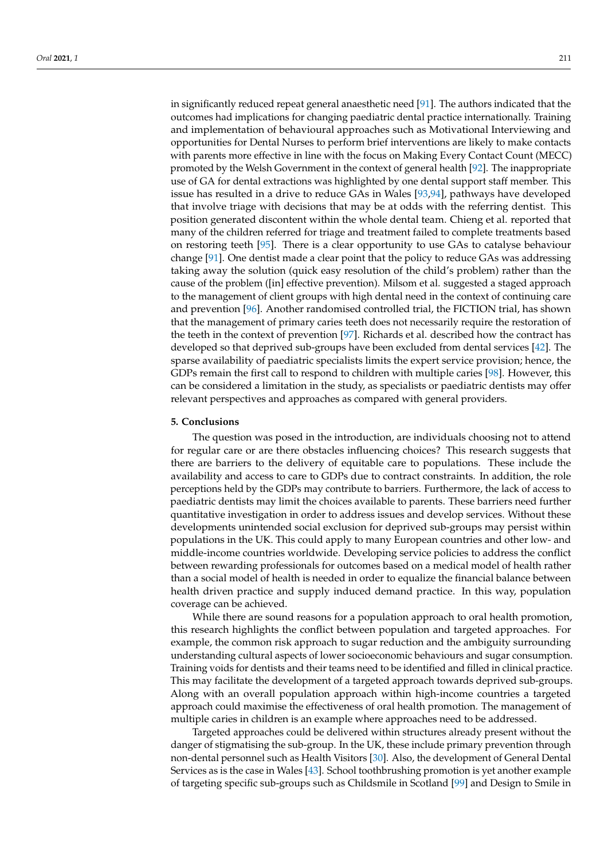in significantly reduced repeat general anaesthetic need [\[91\]](#page-16-11). The authors indicated that the outcomes had implications for changing paediatric dental practice internationally. Training and implementation of behavioural approaches such as Motivational Interviewing and opportunities for Dental Nurses to perform brief interventions are likely to make contacts with parents more effective in line with the focus on Making Every Contact Count (MECC) promoted by the Welsh Government in the context of general health [\[92\]](#page-16-12). The inappropriate use of GA for dental extractions was highlighted by one dental support staff member. This issue has resulted in a drive to reduce GAs in Wales [\[93,](#page-16-13)[94\]](#page-16-14), pathways have developed that involve triage with decisions that may be at odds with the referring dentist. This position generated discontent within the whole dental team. Chieng et al. reported that many of the children referred for triage and treatment failed to complete treatments based on restoring teeth [\[95\]](#page-16-15). There is a clear opportunity to use GAs to catalyse behaviour change [\[91\]](#page-16-11). One dentist made a clear point that the policy to reduce GAs was addressing taking away the solution (quick easy resolution of the child's problem) rather than the cause of the problem ([in] effective prevention). Milsom et al. suggested a staged approach to the management of client groups with high dental need in the context of continuing care and prevention [\[96\]](#page-16-16). Another randomised controlled trial, the FICTION trial, has shown that the management of primary caries teeth does not necessarily require the restoration of the teeth in the context of prevention [\[97\]](#page-16-17). Richards et al. described how the contract has developed so that deprived sub-groups have been excluded from dental services [\[42\]](#page-14-15). The sparse availability of paediatric specialists limits the expert service provision; hence, the GDPs remain the first call to respond to children with multiple caries [\[98\]](#page-16-18). However, this can be considered a limitation in the study, as specialists or paediatric dentists may offer relevant perspectives and approaches as compared with general providers.

### **5. Conclusions**

The question was posed in the introduction, are individuals choosing not to attend for regular care or are there obstacles influencing choices? This research suggests that there are barriers to the delivery of equitable care to populations. These include the availability and access to care to GDPs due to contract constraints. In addition, the role perceptions held by the GDPs may contribute to barriers. Furthermore, the lack of access to paediatric dentists may limit the choices available to parents. These barriers need further quantitative investigation in order to address issues and develop services. Without these developments unintended social exclusion for deprived sub-groups may persist within populations in the UK. This could apply to many European countries and other low- and middle-income countries worldwide. Developing service policies to address the conflict between rewarding professionals for outcomes based on a medical model of health rather than a social model of health is needed in order to equalize the financial balance between health driven practice and supply induced demand practice. In this way, population coverage can be achieved.

While there are sound reasons for a population approach to oral health promotion, this research highlights the conflict between population and targeted approaches. For example, the common risk approach to sugar reduction and the ambiguity surrounding understanding cultural aspects of lower socioeconomic behaviours and sugar consumption. Training voids for dentists and their teams need to be identified and filled in clinical practice. This may facilitate the development of a targeted approach towards deprived sub-groups. Along with an overall population approach within high-income countries a targeted approach could maximise the effectiveness of oral health promotion. The management of multiple caries in children is an example where approaches need to be addressed.

Targeted approaches could be delivered within structures already present without the danger of stigmatising the sub-group. In the UK, these include primary prevention through non-dental personnel such as Health Visitors [\[30\]](#page-14-4). Also, the development of General Dental Services as is the case in Wales [\[43\]](#page-14-16). School toothbrushing promotion is yet another example of targeting specific sub-groups such as Childsmile in Scotland [\[99\]](#page-16-19) and Design to Smile in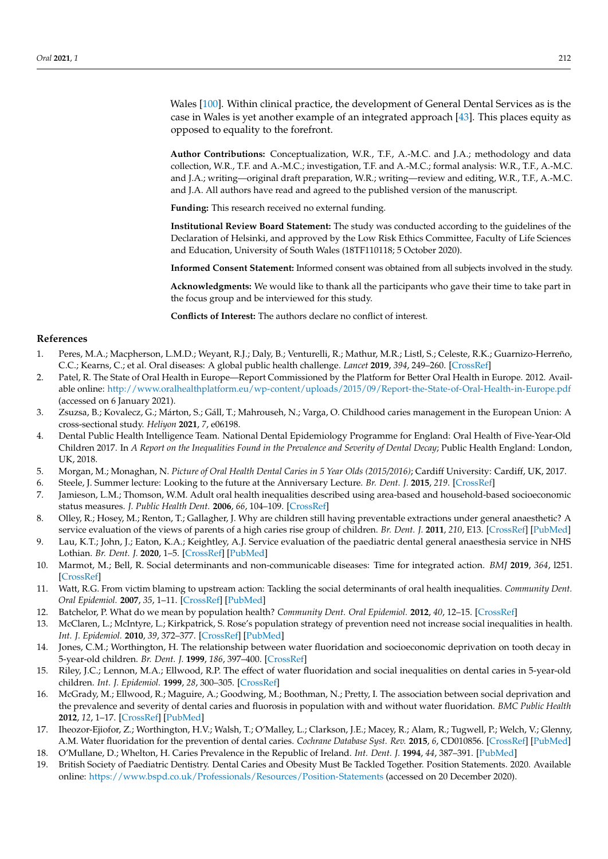Wales [\[100\]](#page-16-20). Within clinical practice, the development of General Dental Services as is the case in Wales is yet another example of an integrated approach [\[43\]](#page-14-16). This places equity as opposed to equality to the forefront.

**Author Contributions:** Conceptualization, W.R., T.F., A.-M.C. and J.A.; methodology and data collection, W.R., T.F. and A.-M.C.; investigation, T.F. and A.-M.C.; formal analysis: W.R., T.F., A.-M.C. and J.A.; writing—original draft preparation, W.R.; writing—review and editing, W.R., T.F., A.-M.C. and J.A. All authors have read and agreed to the published version of the manuscript.

**Funding:** This research received no external funding.

**Institutional Review Board Statement:** The study was conducted according to the guidelines of the Declaration of Helsinki, and approved by the Low Risk Ethics Committee, Faculty of Life Sciences and Education, University of South Wales (18TF110118; 5 October 2020).

**Informed Consent Statement:** Informed consent was obtained from all subjects involved in the study.

**Acknowledgments:** We would like to thank all the participants who gave their time to take part in the focus group and be interviewed for this study.

**Conflicts of Interest:** The authors declare no conflict of interest.

## **References**

- <span id="page-13-0"></span>1. Peres, M.A.; Macpherson, L.M.D.; Weyant, R.J.; Daly, B.; Venturelli, R.; Mathur, M.R.; Listl, S.; Celeste, R.K.; Guarnizo-Herreño, C.C.; Kearns, C.; et al. Oral diseases: A global public health challenge. *Lancet* **2019**, *394*, 249–260. [\[CrossRef\]](http://doi.org/10.1016/S0140-6736(19)31146-8)
- <span id="page-13-1"></span>2. Patel, R. The State of Oral Health in Europe—Report Commissioned by the Platform for Better Oral Health in Europe. 2012. Available online: <http://www.oralhealthplatform.eu/wp-content/uploads/2015/09/Report-the-State-of-Oral-Health-in-Europe.pdf> (accessed on 6 January 2021).
- <span id="page-13-2"></span>3. Zsuzsa, B.; Kovalecz, G.; Márton, S.; Gáll, T.; Mahrouseh, N.; Varga, O. Childhood caries management in the European Union: A cross-sectional study. *Heliyon* **2021**, *7*, e06198.
- <span id="page-13-3"></span>4. Dental Public Health Intelligence Team. National Dental Epidemiology Programme for England: Oral Health of Five-Year-Old Children 2017. In *A Report on the Inequalities Found in the Prevalence and Severity of Dental Decay*; Public Health England: London, UK, 2018.
- <span id="page-13-4"></span>5. Morgan, M.; Monaghan, N. *Picture of Oral Health Dental Caries in 5 Year Olds (2015/2016)*; Cardiff University: Cardiff, UK, 2017.
- <span id="page-13-5"></span>6. Steele, J. Summer lecture: Looking to the future at the Anniversary Lecture. *Br. Dent. J.* **2015**, *219*. [\[CrossRef\]](http://doi.org/10.1038/sj.bdj.2015.607)
- <span id="page-13-17"></span>7. Jamieson, L.M.; Thomson, W.M. Adult oral health inequalities described using area-based and household-based socioeconomic status measures. *J. Public Health Dent.* **2006**, *66*, 104–109. [\[CrossRef\]](http://doi.org/10.1111/j.1752-7325.2006.tb02564.x)
- <span id="page-13-6"></span>8. Olley, R.; Hosey, M.; Renton, T.; Gallagher, J. Why are children still having preventable extractions under general anaesthetic? A service evaluation of the views of parents of a high caries rise group of children. *Br. Dent. J.* **2011**, *210*, E13. [\[CrossRef\]](http://doi.org/10.1038/sj.bdj.2011.313) [\[PubMed\]](http://www.ncbi.nlm.nih.gov/pubmed/21508990)
- <span id="page-13-7"></span>9. Lau, K.T.; John, J.; Eaton, K.A.; Keightley, A.J. Service evaluation of the paediatric dental general anaesthesia service in NHS Lothian. *Br. Dent. J.* **2020**, 1–5. [\[CrossRef\]](http://doi.org/10.1038/s41415-020-1982-z) [\[PubMed\]](http://www.ncbi.nlm.nih.gov/pubmed/32855519)
- <span id="page-13-8"></span>10. Marmot, M.; Bell, R. Social determinants and non-communicable diseases: Time for integrated action. *BMJ* **2019**, *364*, l251. [\[CrossRef\]](http://doi.org/10.1136/bmj.l251)
- <span id="page-13-9"></span>11. Watt, R.G. From victim blaming to upstream action: Tackling the social determinants of oral health inequalities. *Community Dent. Oral Epidemiol.* **2007**, *35*, 1–11. [\[CrossRef\]](http://doi.org/10.1111/j.1600-0528.2007.00348.x) [\[PubMed\]](http://www.ncbi.nlm.nih.gov/pubmed/17244132)
- <span id="page-13-10"></span>12. Batchelor, P. What do we mean by population health? *Community Dent. Oral Epidemiol.* **2012**, *40*, 12–15. [\[CrossRef\]](http://doi.org/10.1111/j.1600-0528.2012.00713.x)
- <span id="page-13-11"></span>13. McClaren, L.; McIntyre, L.; Kirkpatrick, S. Rose's population strategy of prevention need not increase social inequalities in health. *Int. J. Epidemiol.* **2010**, *39*, 372–377. [\[CrossRef\]](http://doi.org/10.1093/ije/dyp315) [\[PubMed\]](http://www.ncbi.nlm.nih.gov/pubmed/19887510)
- <span id="page-13-12"></span>14. Jones, C.M.; Worthington, H. The relationship between water fluoridation and socioeconomic deprivation on tooth decay in 5-year-old children. *Br. Dent. J.* **1999**, *186*, 397–400. [\[CrossRef\]](http://doi.org/10.1038/sj.bdj.4800122)
- 15. Riley, J.C.; Lennon, M.A.; Ellwood, R.P. The effect of water fluoridation and social inequalities on dental caries in 5-year-old children. *Int. J. Epidemiol.* **1999**, *28*, 300–305. [\[CrossRef\]](http://doi.org/10.1093/ije/28.2.300)
- <span id="page-13-13"></span>16. McGrady, M.; Ellwood, R.; Maguire, A.; Goodwing, M.; Boothman, N.; Pretty, I. The association between social deprivation and the prevalence and severity of dental caries and fluorosis in population with and without water fluoridation. *BMC Public Health* **2012**, *12*, 1–17. [\[CrossRef\]](http://doi.org/10.1186/1471-2458-12-1122) [\[PubMed\]](http://www.ncbi.nlm.nih.gov/pubmed/23272895)
- <span id="page-13-14"></span>17. Iheozor-Ejiofor, Z.; Worthington, H.V.; Walsh, T.; O'Malley, L.; Clarkson, J.E.; Macey, R.; Alam, R.; Tugwell, P.; Welch, V.; Glenny, A.M. Water fluoridation for the prevention of dental caries. *Cochrane Database Syst. Rev.* **2015**, *6*, CD010856. [\[CrossRef\]](http://doi.org/10.1002/14651858.CD010856.pub2) [\[PubMed\]](http://www.ncbi.nlm.nih.gov/pubmed/26092033)
- <span id="page-13-15"></span>18. O'Mullane, D.; Whelton, H. Caries Prevalence in the Republic of Ireland. *Int. Dent. J.* **1994**, *44*, 387–391. [\[PubMed\]](http://www.ncbi.nlm.nih.gov/pubmed/7814106)
- <span id="page-13-16"></span>19. British Society of Paediatric Dentistry. Dental Caries and Obesity Must Be Tackled Together. Position Statements. 2020. Available online: <https://www.bspd.co.uk/Professionals/Resources/Position-Statements> (accessed on 20 December 2020).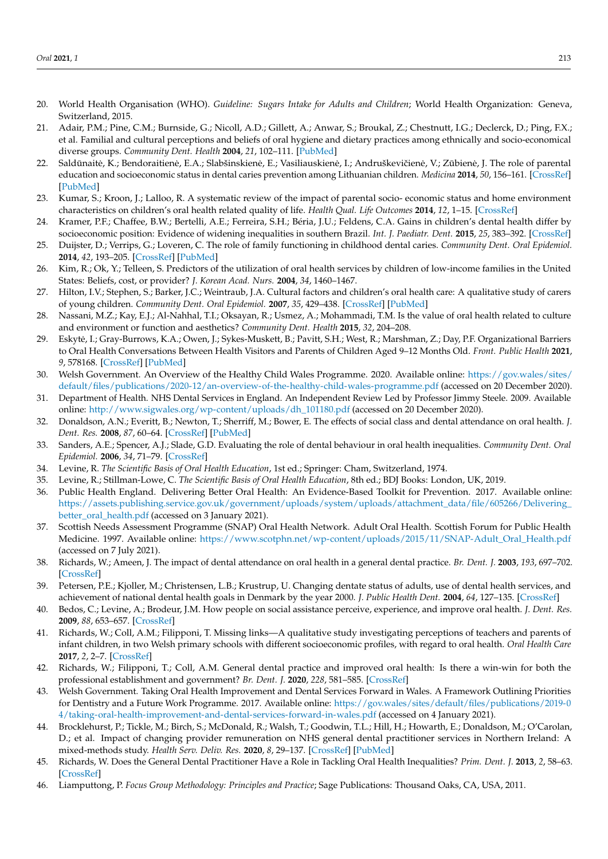- <span id="page-14-0"></span>20. World Health Organisation (WHO). *Guideline: Sugars Intake for Adults and Children*; World Health Organization: Geneva, Switzerland, 2015.
- <span id="page-14-1"></span>21. Adair, P.M.; Pine, C.M.; Burnside, G.; Nicoll, A.D.; Gillett, A.; Anwar, S.; Broukal, Z.; Chestnutt, I.G.; Declerck, D.; Ping, F.X.; et al. Familial and cultural perceptions and beliefs of oral hygiene and dietary practices among ethnically and socio-economical diverse groups. *Community Dent. Health* **2004**, *21*, 102–111. [\[PubMed\]](http://www.ncbi.nlm.nih.gov/pubmed/15072479)
- 22. Saldūnaitė, K.; Bendoraitienė, E.A.; Slabšinskienė, E.; Vasiliauskienė, I.; Andruškevičienė, V.; Zūbienė, J. The role of parental education and socioeconomic status in dental caries prevention among Lithuanian children. *Medicina* **2014**, *50*, 156–161. [\[CrossRef\]](http://doi.org/10.1016/j.medici.2014.07.003) [\[PubMed\]](http://www.ncbi.nlm.nih.gov/pubmed/25323543)
- 23. Kumar, S.; Kroon, J.; Lalloo, R. A systematic review of the impact of parental socio- economic status and home environment characteristics on children's oral health related quality of life. *Health Qual. Life Outcomes* **2014**, *12*, 1–15. [\[CrossRef\]](http://doi.org/10.1186/1477-7525-12-41)
- 24. Kramer, P.F.; Chaffee, B.W.; Bertelli, A.E.; Ferreira, S.H.; Béria, J.U.; Feldens, C.A. Gains in children's dental health differ by socioeconomic position: Evidence of widening inequalities in southern Brazil. *Int. J. Paediatr. Dent.* **2015**, *25*, 383–392. [\[CrossRef\]](http://doi.org/10.1111/ipd.12140)
- 25. Duijster, D.; Verrips, G.; Loveren, C. The role of family functioning in childhood dental caries. *Community Dent. Oral Epidemiol.* **2014**, *42*, 193–205. [\[CrossRef\]](http://doi.org/10.1111/cdoe.12079) [\[PubMed\]](http://www.ncbi.nlm.nih.gov/pubmed/24117838)
- 26. Kim, R.; Ok, Y.; Telleen, S. Predictors of the utilization of oral health services by children of low-income families in the United States: Beliefs, cost, or provider? *J. Korean Acad. Nurs.* **2004**, *34*, 1460–1467.
- 27. Hilton, I.V.; Stephen, S.; Barker, J.C.; Weintraub, J.A. Cultural factors and children's oral health care: A qualitative study of carers of young children. *Community Dent. Oral Epidemiol.* **2007**, *35*, 429–438. [\[CrossRef\]](http://doi.org/10.1111/j.1600-0528.2006.00356.x) [\[PubMed\]](http://www.ncbi.nlm.nih.gov/pubmed/18039284)
- <span id="page-14-2"></span>28. Nassani, M.Z.; Kay, E.J.; Al-Nahhal, T.I.; Oksayan, R.; Usmez, A.; Mohammadi, T.M. Is the value of oral health related to culture and environment or function and aesthetics? *Community Dent. Health* **2015**, *32*, 204–208.
- <span id="page-14-3"></span>29. Eskyte, I.; Gray-Burrows, K.A.; Owen, J.; Sykes-Muskett, B.; Pavitt, S.H.; West, R.; Marshman, Z.; Day, P.F. Organizational Barriers ˙ to Oral Health Conversations Between Health Visitors and Parents of Children Aged 9–12 Months Old. *Front. Public Health* **2021**, *9*, 578168. [\[CrossRef\]](http://doi.org/10.3389/fpubh.2021.578168) [\[PubMed\]](http://www.ncbi.nlm.nih.gov/pubmed/33708755)
- <span id="page-14-4"></span>30. Welsh Government. An Overview of the Healthy Child Wales Programme. 2020. Available online: [https://gov.wales/sites/](https://gov.wales/sites/default/files/publications/2020-12/an-overview-of-the-healthy-child-wales-programme.pdf) [default/files/publications/2020-12/an-overview-of-the-healthy-child-wales-programme.pdf](https://gov.wales/sites/default/files/publications/2020-12/an-overview-of-the-healthy-child-wales-programme.pdf) (accessed on 20 December 2020).
- <span id="page-14-5"></span>31. Department of Health. NHS Dental Services in England. An Independent Review Led by Professor Jimmy Steele. 2009. Available online: [http://www.sigwales.org/wp-content/uploads/dh\\_101180.pdf](http://www.sigwales.org/wp-content/uploads/dh_101180.pdf) (accessed on 20 December 2020).
- 32. Donaldson, A.N.; Everitt, B.; Newton, T.; Sherriff, M.; Bower, E. The effects of social class and dental attendance on oral health. *J. Dent. Res.* **2008**, *87*, 60–64. [\[CrossRef\]](http://doi.org/10.1177/154405910808700110) [\[PubMed\]](http://www.ncbi.nlm.nih.gov/pubmed/18096895)
- <span id="page-14-6"></span>33. Sanders, A.E.; Spencer, A.J.; Slade, G.D. Evaluating the role of dental behaviour in oral health inequalities. *Community Dent. Oral Epidemiol.* **2006**, *34*, 71–79. [\[CrossRef\]](http://doi.org/10.1111/j.1600-0528.2006.00261.x)
- <span id="page-14-7"></span>34. Levine, R. *The Scientific Basis of Oral Health Education*, 1st ed.; Springer: Cham, Switzerland, 1974.
- <span id="page-14-9"></span>35. Levine, R.; Stillman-Lowe, C. *The Scientific Basis of Oral Health Education*, 8th ed.; BDJ Books: London, UK, 2019.
- <span id="page-14-8"></span>36. Public Health England. Delivering Better Oral Health: An Evidence-Based Toolkit for Prevention. 2017. Available online: [https://assets.publishing.service.gov.uk/government/uploads/system/uploads/attachment\\_data/file/605266/Delivering\\_](https://assets.publishing.service.gov.uk/government/uploads/system/uploads/attachment_data/file/605266/Delivering_better_oral_health.pdf) [better\\_oral\\_health.pdf](https://assets.publishing.service.gov.uk/government/uploads/system/uploads/attachment_data/file/605266/Delivering_better_oral_health.pdf) (accessed on 3 January 2021).
- <span id="page-14-10"></span>37. Scottish Needs Assessment Programme (SNAP) Oral Health Network. Adult Oral Health. Scottish Forum for Public Health Medicine. 1997. Available online: [https://www.scotphn.net/wp-content/uploads/2015/11/SNAP-Adult\\_Oral\\_Health.pdf](https://www.scotphn.net/wp-content/uploads/2015/11/SNAP-Adult_Oral_Health.pdf) (accessed on 7 July 2021).
- <span id="page-14-11"></span>38. Richards, W.; Ameen, J. The impact of dental attendance on oral health in a general dental practice. *Br. Dent. J.* **2003**, *193*, 697–702. [\[CrossRef\]](http://doi.org/10.1038/sj.bdj.4801664)
- <span id="page-14-12"></span>39. Petersen, P.E.; Kjoller, M.; Christensen, L.B.; Krustrup, U. Changing dentate status of adults, use of dental health services, and achievement of national dental health goals in Denmark by the year 2000. *J. Public Health Dent.* **2004**, *64*, 127–135. [\[CrossRef\]](http://doi.org/10.1111/j.1752-7325.2004.tb02742.x)
- <span id="page-14-13"></span>40. Bedos, C.; Levine, A.; Brodeur, J.M. How people on social assistance perceive, experience, and improve oral health. *J. Dent. Res.* **2009**, *88*, 653–657. [\[CrossRef\]](http://doi.org/10.1177/0022034509339300)
- <span id="page-14-14"></span>41. Richards, W.; Coll, A.M.; Filipponi, T. Missing links—A qualitative study investigating perceptions of teachers and parents of infant children, in two Welsh primary schools with different socioeconomic profiles, with regard to oral health. *Oral Health Care* **2017**, *2*, 2–7. [\[CrossRef\]](http://doi.org/10.15761/OHC.1000109)
- <span id="page-14-15"></span>42. Richards, W.; Filipponi, T.; Coll, A.M. General dental practice and improved oral health: Is there a win-win for both the professional establishment and government? *Br. Dent. J.* **2020**, *228*, 581–585. [\[CrossRef\]](http://doi.org/10.1038/s41415-020-1448-3)
- <span id="page-14-16"></span>43. Welsh Government. Taking Oral Health Improvement and Dental Services Forward in Wales. A Framework Outlining Priorities for Dentistry and a Future Work Programme. 2017. Available online: [https://gov.wales/sites/default/files/publications/2019-0](https://gov.wales/sites/default/files/publications/2019-04/taking-oral-health-improvement-and-dental-services-forward-in-wales.pdf) [4/taking-oral-health-improvement-and-dental-services-forward-in-wales.pdf](https://gov.wales/sites/default/files/publications/2019-04/taking-oral-health-improvement-and-dental-services-forward-in-wales.pdf) (accessed on 4 January 2021).
- <span id="page-14-17"></span>44. Brocklehurst, P.; Tickle, M.; Birch, S.; McDonald, R.; Walsh, T.; Goodwin, T.L.; Hill, H.; Howarth, E.; Donaldson, M.; O'Carolan, D.; et al. Impact of changing provider remuneration on NHS general dental practitioner services in Northern Ireland: A mixed-methods study. *Health Serv. Deliv. Res.* **2020**, *8*, 29–137. [\[CrossRef\]](http://doi.org/10.3310/hsdr08060) [\[PubMed\]](http://www.ncbi.nlm.nih.gov/pubmed/32023019)
- <span id="page-14-18"></span>45. Richards, W. Does the General Dental Practitioner Have a Role in Tackling Oral Health Inequalities? *Prim. Dent. J.* **2013**, *2*, 58–63. [\[CrossRef\]](http://doi.org/10.1308/205016813807440038)
- <span id="page-14-19"></span>46. Liamputtong, P. *Focus Group Methodology: Principles and Practice*; Sage Publications: Thousand Oaks, CA, USA, 2011.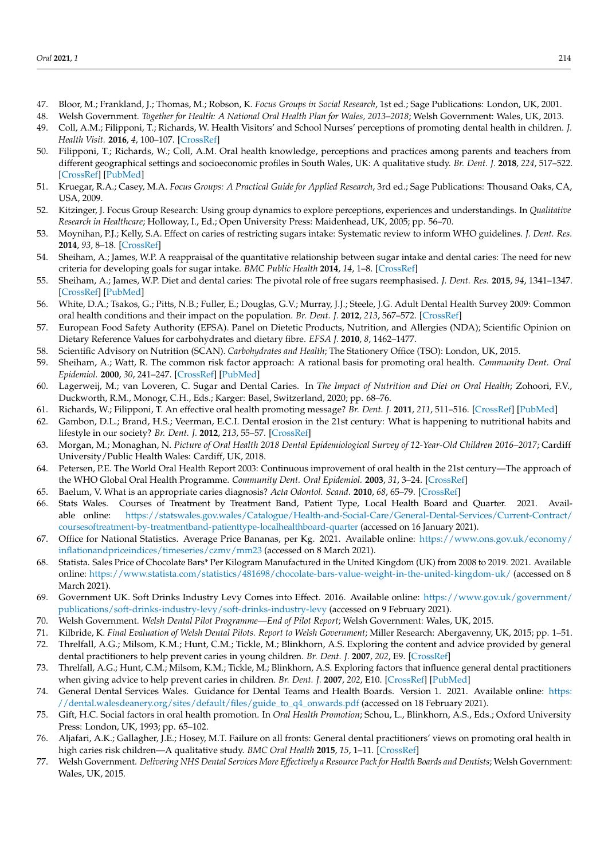- <span id="page-15-0"></span>47. Bloor, M.; Frankland, J.; Thomas, M.; Robson, K. *Focus Groups in Social Research*, 1st ed.; Sage Publications: London, UK, 2001.
- <span id="page-15-1"></span>48. Welsh Government. *Together for Health: A National Oral Health Plan for Wales, 2013–2018*; Welsh Government: Wales, UK, 2013.
- <span id="page-15-2"></span>49. Coll, A.M.; Filipponi, T.; Richards, W. Health Visitors' and School Nurses' perceptions of promoting dental health in children. *J. Health Visit.* **2016**, *4*, 100–107. [\[CrossRef\]](http://doi.org/10.12968/johv.2016.4.2.100)
- <span id="page-15-3"></span>50. Filipponi, T.; Richards, W.; Coll, A.M. Oral health knowledge, perceptions and practices among parents and teachers from different geographical settings and socioeconomic profiles in South Wales, UK: A qualitative study. *Br. Dent. J.* **2018**, *224*, 517–522. [\[CrossRef\]](http://doi.org/10.1038/sj.bdj.2018.223) [\[PubMed\]](http://www.ncbi.nlm.nih.gov/pubmed/29576611)
- <span id="page-15-4"></span>51. Kruegar, R.A.; Casey, M.A. *Focus Groups: A Practical Guide for Applied Research*, 3rd ed.; Sage Publications: Thousand Oaks, CA, USA, 2009.
- <span id="page-15-5"></span>52. Kitzinger, J. Focus Group Research: Using group dynamics to explore perceptions, experiences and understandings. In *Qualitative Research in Healthcare*; Holloway, I., Ed.; Open University Press: Maidenhead, UK, 2005; pp. 56–70.
- <span id="page-15-6"></span>53. Moynihan, P.J.; Kelly, S.A. Effect on caries of restricting sugars intake: Systematic review to inform WHO guidelines. *J. Dent. Res.* **2014**, *93*, 8–18. [\[CrossRef\]](http://doi.org/10.1177/0022034513508954)
- 54. Sheiham, A.; James, W.P. A reappraisal of the quantitative relationship between sugar intake and dental caries: The need for new criteria for developing goals for sugar intake. *BMC Public Health* **2014**, *14*, 1–8. [\[CrossRef\]](http://doi.org/10.1186/1471-2458-14-863)
- 55. Sheiham, A.; James, W.P. Diet and dental caries: The pivotal role of free sugars reemphasised. *J. Dent. Res.* **2015**, *94*, 1341–1347. [\[CrossRef\]](http://doi.org/10.1177/0022034515590377) [\[PubMed\]](http://www.ncbi.nlm.nih.gov/pubmed/26261186)
- <span id="page-15-7"></span>56. White, D.A.; Tsakos, G.; Pitts, N.B.; Fuller, E.; Douglas, G.V.; Murray, J.J.; Steele, J.G. Adult Dental Health Survey 2009: Common oral health conditions and their impact on the population. *Br. Dent. J.* **2012**, *213*, 567–572. [\[CrossRef\]](http://doi.org/10.1038/sj.bdj.2012.1088)
- <span id="page-15-8"></span>57. European Food Safety Authority (EFSA). Panel on Dietetic Products, Nutrition, and Allergies (NDA); Scientific Opinion on Dietary Reference Values for carbohydrates and dietary fibre. *EFSA J.* **2010**, *8*, 1462–1477.
- <span id="page-15-9"></span>58. Scientific Advisory on Nutrition (SCAN). *Carbohydrates and Health*; The Stationery Office (TSO): London, UK, 2015.
- <span id="page-15-10"></span>59. Sheiham, A.; Watt, R. The common risk factor approach: A rational basis for promoting oral health. *Community Dent. Oral Epidemiol.* **2000**, *30*, 241–247. [\[CrossRef\]](http://doi.org/10.1034/j.1600-0528.2000.028006399.x) [\[PubMed\]](http://www.ncbi.nlm.nih.gov/pubmed/11106011)
- <span id="page-15-11"></span>60. Lagerweij, M.; van Loveren, C. Sugar and Dental Caries. In *The Impact of Nutrition and Diet on Oral Health*; Zohoori, F.V., Duckworth, R.M., Monogr, C.H., Eds.; Karger: Basel, Switzerland, 2020; pp. 68–76.
- <span id="page-15-12"></span>61. Richards, W.; Filipponi, T. An effective oral health promoting message? *Br. Dent. J.* **2011**, *211*, 511–516. [\[CrossRef\]](http://doi.org/10.1038/sj.bdj.2011.1001) [\[PubMed\]](http://www.ncbi.nlm.nih.gov/pubmed/22158167)
- <span id="page-15-13"></span>62. Gambon, D.L.; Brand, H.S.; Veerman, E.C.I. Dental erosion in the 21st century: What is happening to nutritional habits and lifestyle in our society? *Br. Dent. J.* **2012**, *213*, 55–57. [\[CrossRef\]](http://doi.org/10.1038/sj.bdj.2012.613)
- <span id="page-15-14"></span>63. Morgan, M.; Monaghan, N. *Picture of Oral Health 2018 Dental Epidemiological Survey of 12-Year-Old Children 2016–2017*; Cardiff University/Public Health Wales: Cardiff, UK, 2018.
- <span id="page-15-15"></span>64. Petersen, P.E. The World Oral Health Report 2003: Continuous improvement of oral health in the 21st century—The approach of the WHO Global Oral Health Programme. *Community Dent. Oral Epidemiol.* **2003**, *31*, 3–24. [\[CrossRef\]](http://doi.org/10.1046/j..2003.com122.x)
- <span id="page-15-16"></span>65. Baelum, V. What is an appropriate caries diagnosis? *Acta Odontol. Scand.* **2010**, *68*, 65–79. [\[CrossRef\]](http://doi.org/10.3109/00016350903530786)
- <span id="page-15-17"></span>66. Stats Wales. Courses of Treatment by Treatment Band, Patient Type, Local Health Board and Quarter. 2021. Available online: [https://statswales.gov.wales/Catalogue/Health-and-Social-Care/General-Dental-Services/Current-Contract/](https://statswales.gov.wales/Catalogue/Health-and-Social-Care/General-Dental-Services/Current-Contract/coursesoftreatment-by-treatmentband-patienttype-localhealthboard-quarter) [coursesoftreatment-by-treatmentband-patienttype-localhealthboard-quarter](https://statswales.gov.wales/Catalogue/Health-and-Social-Care/General-Dental-Services/Current-Contract/coursesoftreatment-by-treatmentband-patienttype-localhealthboard-quarter) (accessed on 16 January 2021).
- <span id="page-15-18"></span>67. Office for National Statistics. Average Price Bananas, per Kg. 2021. Available online: [https://www.ons.gov.uk/economy/](https://www.ons.gov.uk/economy/inflationandpriceindices/timeseries/czmv/mm23) [inflationandpriceindices/timeseries/czmv/mm23](https://www.ons.gov.uk/economy/inflationandpriceindices/timeseries/czmv/mm23) (accessed on 8 March 2021).
- <span id="page-15-19"></span>68. Statista. Sales Price of Chocolate Bars\* Per Kilogram Manufactured in the United Kingdom (UK) from 2008 to 2019. 2021. Available online: <https://www.statista.com/statistics/481698/chocolate-bars-value-weight-in-the-united-kingdom-uk/> (accessed on 8 March 2021).
- <span id="page-15-20"></span>69. Government UK. Soft Drinks Industry Levy Comes into Effect. 2016. Available online: [https://www.gov.uk/government/](https://www.gov.uk/government/publications/soft-drinks-industry-levy/soft-drinks-industry-levy) [publications/soft-drinks-industry-levy/soft-drinks-industry-levy](https://www.gov.uk/government/publications/soft-drinks-industry-levy/soft-drinks-industry-levy) (accessed on 9 February 2021).
- <span id="page-15-21"></span>70. Welsh Government. *Welsh Dental Pilot Programme—End of Pilot Report*; Welsh Government: Wales, UK, 2015.
- <span id="page-15-22"></span>71. Kilbride, K. *Final Evaluation of Welsh Dental Pilots. Report to Welsh Government*; Miller Research: Abergavenny, UK, 2015; pp. 1–51.
- <span id="page-15-23"></span>72. Threlfall, A.G.; Milsom, K.M.; Hunt, C.M.; Tickle, M.; Blinkhorn, A.S. Exploring the content and advice provided by general dental practitioners to help prevent caries in young children. *Br. Dent. J.* **2007**, *202*, E9. [\[CrossRef\]](http://doi.org/10.1038/bdj.2007.46)
- <span id="page-15-24"></span>73. Threlfall, A.G.; Hunt, C.M.; Milsom, K.M.; Tickle, M.; Blinkhorn, A.S. Exploring factors that influence general dental practitioners when giving advice to help prevent caries in children. *Br. Dent. J.* **2007**, *202*, E10. [\[CrossRef\]](http://doi.org/10.1038/bdj.2007.143) [\[PubMed\]](http://www.ncbi.nlm.nih.gov/pubmed/17308533)
- <span id="page-15-25"></span>74. General Dental Services Wales. Guidance for Dental Teams and Health Boards. Version 1. 2021. Available online: [https:](https://dental.walesdeanery.org/sites/default/files/guide_to_q4_onwards.pdf) [//dental.walesdeanery.org/sites/default/files/guide\\_to\\_q4\\_onwards.pdf](https://dental.walesdeanery.org/sites/default/files/guide_to_q4_onwards.pdf) (accessed on 18 February 2021).
- <span id="page-15-26"></span>75. Gift, H.C. Social factors in oral health promotion. In *Oral Health Promotion*; Schou, L., Blinkhorn, A.S., Eds.; Oxford University Press: London, UK, 1993; pp. 65–102.
- <span id="page-15-27"></span>76. Aljafari, A.K.; Gallagher, J.E.; Hosey, M.T. Failure on all fronts: General dental practitioners' views on promoting oral health in high caries risk children—A qualitative study. *BMC Oral Health* **2015**, *15*, 1–11. [\[CrossRef\]](http://doi.org/10.1186/s12903-015-0032-8)
- <span id="page-15-28"></span>77. Welsh Government. *Delivering NHS Dental Services More Effectively a Resource Pack for Health Boards and Dentists*; Welsh Government: Wales, UK, 2015.